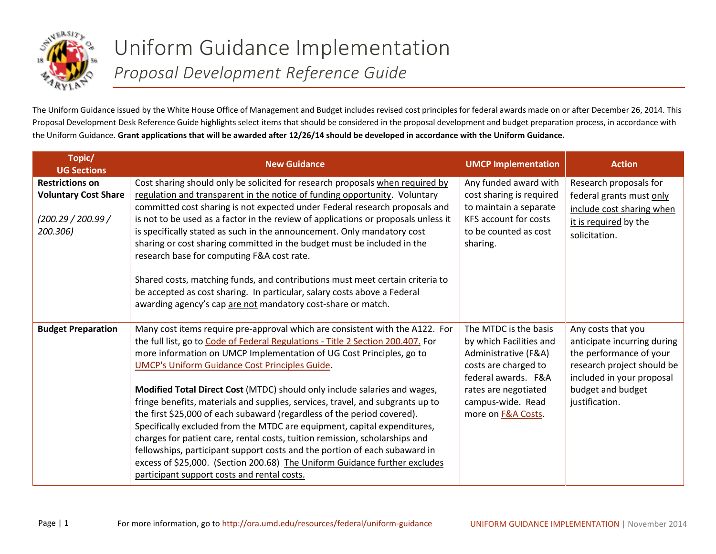

## Uniform Guidance Implementation *Proposal Development Reference Guide*

The Uniform Guidance issued by the White House Office of Management and Budget includes revised cost principles for federal awards made on or after December 26, 2014. This Proposal Development Desk Reference Guide highlights select items that should be considered in the proposal development and budget preparation process, in accordance with the Uniform Guidance. **Grant applications that will be awarded after 12/26/14 should be developed in accordance with the Uniform Guidance.** 

| Topic/<br><b>UG Sections</b>                                                           | <b>New Guidance</b>                                                                                                                                                                                                                                                                                                                                                                                                                                                                                                                                                                                                                                                                                                                                                                                                                                                                                              | <b>UMCP Implementation</b>                                                                                                                                                                 | <b>Action</b>                                                                                                                                                                  |
|----------------------------------------------------------------------------------------|------------------------------------------------------------------------------------------------------------------------------------------------------------------------------------------------------------------------------------------------------------------------------------------------------------------------------------------------------------------------------------------------------------------------------------------------------------------------------------------------------------------------------------------------------------------------------------------------------------------------------------------------------------------------------------------------------------------------------------------------------------------------------------------------------------------------------------------------------------------------------------------------------------------|--------------------------------------------------------------------------------------------------------------------------------------------------------------------------------------------|--------------------------------------------------------------------------------------------------------------------------------------------------------------------------------|
| <b>Restrictions on</b><br><b>Voluntary Cost Share</b><br>(200.29 / 200.99)<br>200.306) | Cost sharing should only be solicited for research proposals when required by<br>regulation and transparent in the notice of funding opportunity. Voluntary<br>committed cost sharing is not expected under Federal research proposals and<br>is not to be used as a factor in the review of applications or proposals unless it<br>is specifically stated as such in the announcement. Only mandatory cost<br>sharing or cost sharing committed in the budget must be included in the<br>research base for computing F&A cost rate.<br>Shared costs, matching funds, and contributions must meet certain criteria to<br>be accepted as cost sharing. In particular, salary costs above a Federal<br>awarding agency's cap are not mandatory cost-share or match.                                                                                                                                                | Any funded award with<br>cost sharing is required<br>to maintain a separate<br>KFS account for costs<br>to be counted as cost<br>sharing.                                                  | Research proposals for<br>federal grants must only<br>include cost sharing when<br>it is required by the<br>solicitation.                                                      |
| <b>Budget Preparation</b>                                                              | Many cost items require pre-approval which are consistent with the A122. For<br>the full list, go to Code of Federal Regulations - Title 2 Section 200.407. For<br>more information on UMCP Implementation of UG Cost Principles, go to<br><b>UMCP's Uniform Guidance Cost Principles Guide.</b><br>Modified Total Direct Cost (MTDC) should only include salaries and wages,<br>fringe benefits, materials and supplies, services, travel, and subgrants up to<br>the first \$25,000 of each subaward (regardless of the period covered).<br>Specifically excluded from the MTDC are equipment, capital expenditures,<br>charges for patient care, rental costs, tuition remission, scholarships and<br>fellowships, participant support costs and the portion of each subaward in<br>excess of \$25,000. (Section 200.68) The Uniform Guidance further excludes<br>participant support costs and rental costs. | The MTDC is the basis<br>by which Facilities and<br>Administrative (F&A)<br>costs are charged to<br>federal awards. F&A<br>rates are negotiated<br>campus-wide. Read<br>more on F&A Costs. | Any costs that you<br>anticipate incurring during<br>the performance of your<br>research project should be<br>included in your proposal<br>budget and budget<br>justification. |